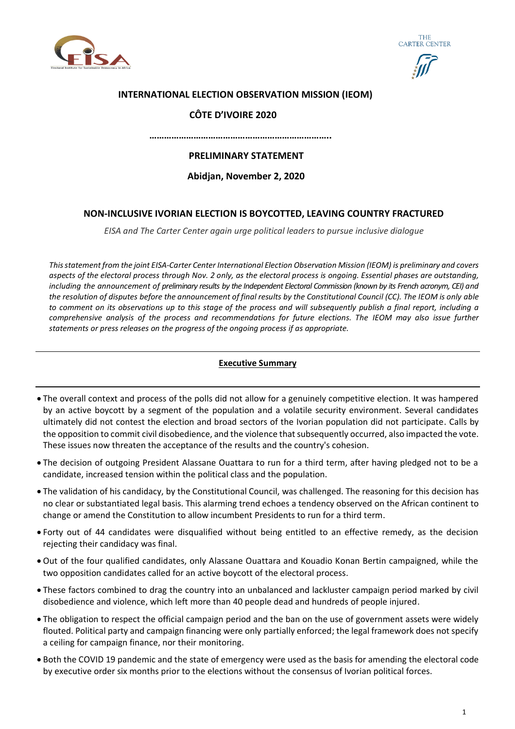





### **INTERNATIONAL ELECTION OBSERVATION MISSION (IEOM)**

### **CÔTE D'IVOIRE 2020**

 **………………………………………………………………..**

# **PRELIMINARY STATEMENT**

**Abidjan, November 2, 2020**

### **NON-INCLUSIVE IVORIAN ELECTION IS BOYCOTTED, LEAVING COUNTRY FRACTURED**

*EISA and The Carter Center again urge political leaders to pursue inclusive dialogue*

*Thisstatement from the joint EISA-Carter Center International Election Observation Mission (IEOM) is preliminary and covers aspects of the electoral process through Nov. 2 only, as the electoral process is ongoing. Essential phases are outstanding, including the announcement of preliminary results by the Independent Electoral Commission (known by its French acronym, CEI) and the resolution of disputes before the announcement of final results by the Constitutional Council (CC). The IEOM is only able to comment on its observations up to this stage of the process and will subsequently publish a final report, including a comprehensive analysis of the process and recommendations for future elections. The IEOM may also issue further statements or press releases on the progress of the ongoing process if as appropriate.*

### **Executive Summary**

- The overall context and process of the polls did not allow for a genuinely competitive election. It was hampered by an active boycott by a segment of the population and a volatile security environment. Several candidates ultimately did not contest the election and broad sectors of the Ivorian population did not participate. Calls by the opposition to commit civil disobedience, and the violence that subsequently occurred, also impacted the vote. These issues now threaten the acceptance of the results and the country's cohesion.
- The decision of outgoing President Alassane Ouattara to run for a third term, after having pledged not to be a candidate, increased tension within the political class and the population.
- The validation of his candidacy, by the Constitutional Council, was challenged. The reasoning for this decision has no clear or substantiated legal basis. This alarming trend echoes a tendency observed on the African continent to change or amend the Constitution to allow incumbent Presidents to run for a third term.
- Forty out of 44 candidates were disqualified without being entitled to an effective remedy, as the decision rejecting their candidacy was final.
- Out of the four qualified candidates, only Alassane Ouattara and Kouadio Konan Bertin campaigned, while the two opposition candidates called for an active boycott of the electoral process.
- These factors combined to drag the country into an unbalanced and lackluster campaign period marked by civil disobedience and violence, which left more than 40 people dead and hundreds of people injured.
- The obligation to respect the official campaign period and the ban on the use of government assets were widely flouted. Political party and campaign financing were only partially enforced; the legal framework does not specify a ceiling for campaign finance, nor their monitoring.
- Both the COVID 19 pandemic and the state of emergency were used as the basis for amending the electoral code by executive order six months prior to the elections without the consensus of Ivorian political forces.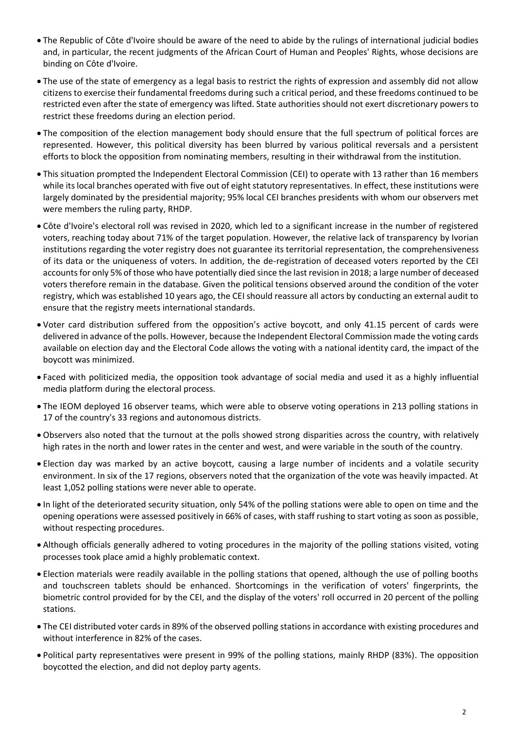- The Republic of Côte d'Ivoire should be aware of the need to abide by the rulings of international judicial bodies and, in particular, the recent judgments of the African Court of Human and Peoples' Rights, whose decisions are binding on Côte d'Ivoire.
- The use of the state of emergency as a legal basis to restrict the rights of expression and assembly did not allow citizens to exercise their fundamental freedoms during such a critical period, and these freedoms continued to be restricted even after the state of emergency was lifted. State authorities should not exert discretionary powers to restrict these freedoms during an election period.
- The composition of the election management body should ensure that the full spectrum of political forces are represented. However, this political diversity has been blurred by various political reversals and a persistent efforts to block the opposition from nominating members, resulting in their withdrawal from the institution.
- This situation prompted the Independent Electoral Commission (CEI) to operate with 13 rather than 16 members while its local branches operated with five out of eight statutory representatives. In effect, these institutions were largely dominated by the presidential majority; 95% local CEI branches presidents with whom our observers met were members the ruling party, RHDP.
- Côte d'Ivoire's electoral roll was revised in 2020, which led to a significant increase in the number of registered voters, reaching today about 71% of the target population. However, the relative lack of transparency by Ivorian institutions regarding the voter registry does not guarantee its territorial representation, the comprehensiveness of its data or the uniqueness of voters. In addition, the de-registration of deceased voters reported by the CEI accounts for only 5% of those who have potentially died since the last revision in 2018; a large number of deceased voters therefore remain in the database. Given the political tensions observed around the condition of the voter registry, which was established 10 years ago, the CEI should reassure all actors by conducting an external audit to ensure that the registry meets international standards.
- Voter card distribution suffered from the opposition's active boycott, and only 41.15 percent of cards were delivered in advance of the polls. However, because the Independent Electoral Commission made the voting cards available on election day and the Electoral Code allows the voting with a national identity card, the impact of the boycott was minimized.
- Faced with politicized media, the opposition took advantage of social media and used it as a highly influential media platform during the electoral process.
- The IEOM deployed 16 observer teams, which were able to observe voting operations in 213 polling stations in 17 of the country's 33 regions and autonomous districts.
- Observers also noted that the turnout at the polls showed strong disparities across the country, with relatively high rates in the north and lower rates in the center and west, and were variable in the south of the country.
- Election day was marked by an active boycott, causing a large number of incidents and a volatile security environment. In six of the 17 regions, observers noted that the organization of the vote was heavily impacted. At least 1,052 polling stations were never able to operate.
- In light of the deteriorated security situation, only 54% of the polling stations were able to open on time and the opening operations were assessed positively in 66% of cases, with staff rushing to start voting as soon as possible, without respecting procedures.
- Although officials generally adhered to voting procedures in the majority of the polling stations visited, voting processes took place amid a highly problematic context.
- Election materials were readily available in the polling stations that opened, although the use of polling booths and touchscreen tablets should be enhanced. Shortcomings in the verification of voters' fingerprints, the biometric control provided for by the CEI, and the display of the voters' roll occurred in 20 percent of the polling stations.
- The CEI distributed voter cards in 89% of the observed polling stations in accordance with existing procedures and without interference in 82% of the cases.
- Political party representatives were present in 99% of the polling stations, mainly RHDP (83%). The opposition boycotted the election, and did not deploy party agents.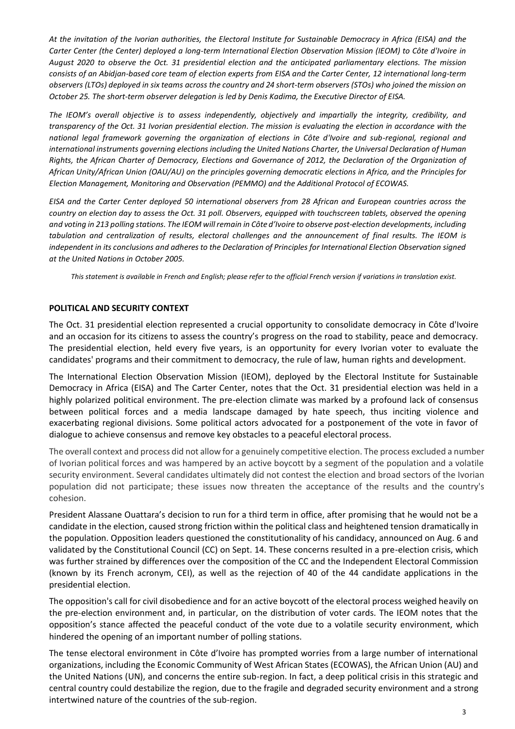*At the invitation of the Ivorian authorities, the Electoral Institute for Sustainable Democracy in Africa (EISA) and the Carter Center (the Center) deployed a long-term International Election Observation Mission (IEOM) to Côte d'Ivoire in August 2020 to observe the Oct. 31 presidential election and the anticipated parliamentary elections. The mission consists of an Abidjan-based core team of election experts from EISA and the Carter Center, 12 international long-term observers (LTOs) deployed in six teams across the country and 24 short-term observers (STOs) who joined the mission on October 25. The short-term observer delegation is led by Denis Kadima, the Executive Director of EISA.*

*The IEOM's overall objective is to assess independently, objectively and impartially the integrity, credibility, and transparency of the Oct. 31 Ivorian presidential election. The mission is evaluating the election in accordance with the national legal framework governing the organization of elections in Côte d'Ivoire and sub-regional, regional and international instruments governing elections including the United Nations Charter, the Universal Declaration of Human Rights, the African Charter of Democracy, Elections and Governance of 2012, the Declaration of the Organization of African Unity/African Union (OAU/AU) on the principles governing democratic elections in Africa, and the Principles for Election Management, Monitoring and Observation (PEMMO) and the Additional Protocol of ECOWAS.* 

*EISA and the Carter Center deployed 50 international observers from 28 African and European countries across the country on election day to assess the Oct. 31 poll. Observers, equipped with touchscreen tablets, observed the opening and voting in 213 polling stations. The IEOM will remain in Côte d'Ivoire to observe post-election developments, including tabulation and centralization of results, electoral challenges and the announcement of final results. The IEOM is independent in its conclusions and adheres to the Declaration of Principles for International Election Observation signed at the United Nations in October 2005.*

*This statement is available in French and English; please refer to the official French version if variations in translation exist.*

### **POLITICAL AND SECURITY CONTEXT**

The Oct. 31 presidential election represented a crucial opportunity to consolidate democracy in Côte d'Ivoire and an occasion for its citizens to assess the country's progress on the road to stability, peace and democracy. The presidential election, held every five years, is an opportunity for every Ivorian voter to evaluate the candidates' programs and their commitment to democracy, the rule of law, human rights and development.

The International Election Observation Mission (IEOM), deployed by the Electoral Institute for Sustainable Democracy in Africa (EISA) and The Carter Center, notes that the Oct. 31 presidential election was held in a highly polarized political environment. The pre-election climate was marked by a profound lack of consensus between political forces and a media landscape damaged by hate speech, thus inciting violence and exacerbating regional divisions. Some political actors advocated for a postponement of the vote in favor of dialogue to achieve consensus and remove key obstacles to a peaceful electoral process.

The overall context and process did not allow for a genuinely competitive election. The process excluded a number of Ivorian political forces and was hampered by an active boycott by a segment of the population and a volatile security environment. Several candidates ultimately did not contest the election and broad sectors of the Ivorian population did not participate; these issues now threaten the acceptance of the results and the country's cohesion.

President Alassane Ouattara's decision to run for a third term in office, after promising that he would not be a candidate in the election, caused strong friction within the political class and heightened tension dramatically in the population. Opposition leaders questioned the constitutionality of his candidacy, announced on Aug. 6 and validated by the Constitutional Council (CC) on Sept. 14. These concerns resulted in a pre-election crisis, which was further strained by differences over the composition of the CC and the Independent Electoral Commission (known by its French acronym, CEI), as well as the rejection of 40 of the 44 candidate applications in the presidential election.

The opposition's call for civil disobedience and for an active boycott of the electoral process weighed heavily on the pre-election environment and, in particular, on the distribution of voter cards. The IEOM notes that the opposition's stance affected the peaceful conduct of the vote due to a volatile security environment, which hindered the opening of an important number of polling stations.

The tense electoral environment in Côte d'Ivoire has prompted worries from a large number of international organizations, including the Economic Community of West African States (ECOWAS), the African Union (AU) and the United Nations (UN), and concerns the entire sub-region. In fact, a deep political crisis in this strategic and central country could destabilize the region, due to the fragile and degraded security environment and a strong intertwined nature of the countries of the sub-region.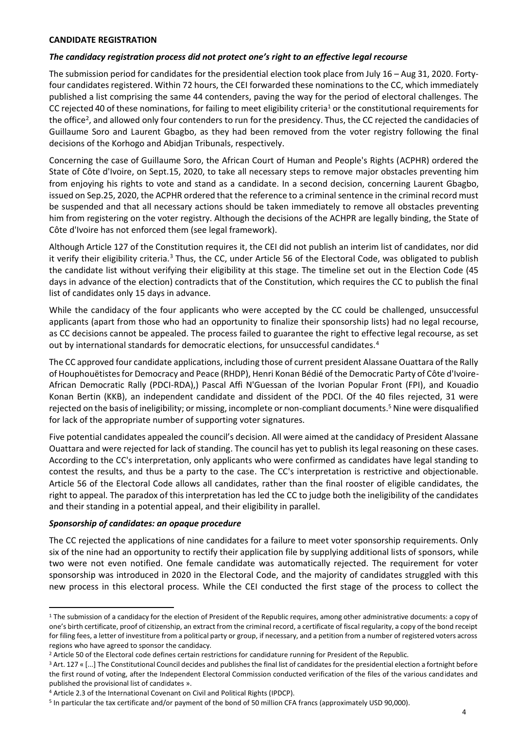#### **CANDIDATE REGISTRATION**

#### *The candidacy registration process did not protect one's right to an effective legal recourse*

The submission period for candidates for the presidential election took place from July 16 – Aug 31, 2020. Fortyfour candidates registered. Within 72 hours, the CEI forwarded these nominations to the CC, which immediately published a list comprising the same 44 contenders, paving the way for the period of electoral challenges. The CC rejected 40 of these nominations, for failing to meet eligibility criteria<sup>1</sup> or the constitutional requirements for the office<sup>2</sup>, and allowed only four contenders to run for the presidency. Thus, the CC rejected the candidacies of Guillaume Soro and Laurent Gbagbo, as they had been removed from the voter registry following the final decisions of the Korhogo and Abidjan Tribunals, respectively.

Concerning the case of Guillaume Soro, the African Court of Human and People's Rights (ACPHR) ordered the State of Côte d'Ivoire, on Sept.15, 2020, to take all necessary steps to remove major obstacles preventing him from enjoying his rights to vote and stand as a candidate. In a second decision, concerning Laurent Gbagbo, issued on Sep.25, 2020, the ACPHR ordered that the reference to a criminal sentence in the criminal record must be suspended and that all necessary actions should be taken immediately to remove all obstacles preventing him from registering on the voter registry. Although the decisions of the ACHPR are legally binding, the State of Côte d'Ivoire has not enforced them (see legal framework).

Although Article 127 of the Constitution requires it, the CEI did not publish an interim list of candidates, nor did it verify their eligibility criteria.<sup>3</sup> Thus, the CC, under Article 56 of the Electoral Code, was obligated to publish the candidate list without verifying their eligibility at this stage. The timeline set out in the Election Code (45 days in advance of the election) contradicts that of the Constitution, which requires the CC to publish the final list of candidates only 15 days in advance.

While the candidacy of the four applicants who were accepted by the CC could be challenged, unsuccessful applicants (apart from those who had an opportunity to finalize their sponsorship lists) had no legal recourse, as CC decisions cannot be appealed. The process failed to guarantee the right to effective legal recourse, as set out by international standards for democratic elections, for unsuccessful candidates.<sup>4</sup>

The CC approved four candidate applications, including those of current president Alassane Ouattara of the Rally of Houphouëtistes for Democracy and Peace (RHDP), Henri Konan Bédié of the Democratic Party of Côte d'Ivoire-African Democratic Rally (PDCI-RDA),) Pascal Affi N'Guessan of the Ivorian Popular Front (FPI), and Kouadio Konan Bertin (KKB), an independent candidate and dissident of the PDCI. Of the 40 files rejected, 31 were rejected on the basis of ineligibility; or missing, incomplete or non-compliant documents.<sup>5</sup> Nine were disqualified for lack of the appropriate number of supporting voter signatures.

Five potential candidates appealed the council's decision. All were aimed at the candidacy of President Alassane Ouattara and were rejected for lack of standing. The council has yet to publish its legal reasoning on these cases. According to the CC's interpretation, only applicants who were confirmed as candidates have legal standing to contest the results, and thus be a party to the case. The CC's interpretation is restrictive and objectionable. Article 56 of the Electoral Code allows all candidates, rather than the final rooster of eligible candidates, the right to appeal. The paradox of this interpretation has led the CC to judge both the ineligibility of the candidates and their standing in a potential appeal, and their eligibility in parallel.

#### *Sponsorship of candidates: an opaque procedure*

The CC rejected the applications of nine candidates for a failure to meet voter sponsorship requirements. Only six of the nine had an opportunity to rectify their application file by supplying additional lists of sponsors, while two were not even notified. One female candidate was automatically rejected. The requirement for voter sponsorship was introduced in 2020 in the Electoral Code, and the majority of candidates struggled with this new process in this electoral process. While the CEI conducted the first stage of the process to collect the

<sup>&</sup>lt;sup>1</sup> The submission of a candidacy for the election of President of the Republic requires, among other administrative documents: a copy of one's birth certificate, proof of citizenship, an extract from the criminal record, a certificate of fiscal regularity, a copy of the bond receipt for filing fees, a letter of investiture from a political party or group, if necessary, and a petition from a number of registered voters across regions who have agreed to sponsor the candidacy.

<sup>&</sup>lt;sup>2</sup> Article 50 of the Electoral code defines certain restrictions for candidature running for President of the Republic.

<sup>&</sup>lt;sup>3</sup> Art. 127 « [...] The Constitutional Council decides and publishes the final list of candidates for the presidential election a fortnight before the first round of voting, after the Independent Electoral Commission conducted verification of the files of the various candidates and published the provisional list of candidates ».

<sup>4</sup> Article 2.3 of the International Covenant on Civil and Political Rights (IPDCP).

<sup>&</sup>lt;sup>5</sup> In particular the tax certificate and/or payment of the bond of 50 million CFA francs (approximately USD 90,000).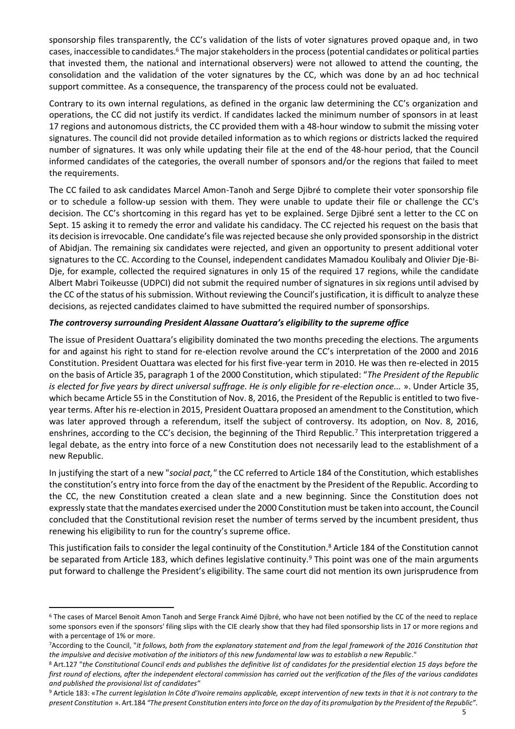sponsorship files transparently, the CC's validation of the lists of voter signatures proved opaque and, in two cases, inaccessible to candidates.<sup>6</sup> The major stakeholders in the process (potential candidates or political parties that invested them, the national and international observers) were not allowed to attend the counting, the consolidation and the validation of the voter signatures by the CC, which was done by an ad hoc technical support committee. As a consequence, the transparency of the process could not be evaluated.

Contrary to its own internal regulations, as defined in the organic law determining the CC's organization and operations, the CC did not justify its verdict. If candidates lacked the minimum number of sponsors in at least 17 regions and autonomous districts, the CC provided them with a 48-hour window to submit the missing voter signatures. The council did not provide detailed information as to which regions or districts lacked the required number of signatures. It was only while updating their file at the end of the 48-hour period, that the Council informed candidates of the categories, the overall number of sponsors and/or the regions that failed to meet the requirements.

The CC failed to ask candidates Marcel Amon-Tanoh and Serge Djibré to complete their voter sponsorship file or to schedule a follow-up session with them. They were unable to update their file or challenge the CC's decision. The CC's shortcoming in this regard has yet to be explained. Serge Djibré sent a letter to the CC on Sept. 15 asking it to remedy the error and validate his candidacy. The CC rejected his request on the basis that its decision is irrevocable. One candidate's file was rejected because she only provided sponsorship in the district of Abidjan. The remaining six candidates were rejected, and given an opportunity to present additional voter signatures to the CC. According to the Counsel, independent candidates Mamadou Koulibaly and Olivier Dje-Bi-Dje, for example, collected the required signatures in only 15 of the required 17 regions, while the candidate Albert Mabri Toikeusse (UDPCI) did not submit the required number of signatures in six regions until advised by the CC of the status of his submission. Without reviewing the Council's justification, it is difficult to analyze these decisions, as rejected candidates claimed to have submitted the required number of sponsorships.

### *The controversy surrounding President Alassane Ouattara's eligibility to the supreme office*

The issue of President Ouattara's eligibility dominated the two months preceding the elections. The arguments for and against his right to stand for re-election revolve around the CC's interpretation of the 2000 and 2016 Constitution. President Ouattara was elected for his first five-year term in 2010. He was then re-elected in 2015 on the basis of Article 35, paragraph 1 of the 2000 Constitution, which stipulated: "*The President of the Republic is elected for five years by direct universal suffrage. He is only eligible for re-election once...* ». Under Article 35, which became Article 55 in the Constitution of Nov. 8, 2016, the President of the Republic is entitled to two fiveyear terms. After his re-election in 2015, President Ouattara proposed an amendment to the Constitution, which was later approved through a referendum, itself the subject of controversy. Its adoption, on Nov. 8, 2016, enshrines, according to the CC's decision, the beginning of the Third Republic.<sup>7</sup> This interpretation triggered a legal debate, as the entry into force of a new Constitution does not necessarily lead to the establishment of a new Republic.

In justifying the start of a new "*social pact,"* the CC referred to Article 184 of the Constitution, which establishes the constitution's entry into force from the day of the enactment by the President of the Republic. According to the CC, the new Constitution created a clean slate and a new beginning. Since the Constitution does not expressly state that the mandates exercised under the 2000 Constitution must be taken into account, the Council concluded that the Constitutional revision reset the number of terms served by the incumbent president, thus renewing his eligibility to run for the country's supreme office.

This justification fails to consider the legal continuity of the Constitution. <sup>8</sup> Article 184 of the Constitution cannot be separated from Article 183, which defines legislative continuity.<sup>9</sup> This point was one of the main arguments put forward to challenge the President's eligibility. The same court did not mention its own jurisprudence from

<sup>6</sup> The cases of Marcel Benoit Amon Tanoh and Serge Franck Aimé Djibré, who have not been notified by the CC of the need to replace some sponsors even if the sponsors' filing slips with the CIE clearly show that they had filed sponsorship lists in 17 or more regions and with a percentage of 1% or more.

<sup>7</sup>According to the Council, "*it follows, both from the explanatory statement and from the legal framework of the 2016 Constitution that*  the impulsive and decisive motivation of the initiators of this new fundamental law was to establish a new Republic."

<sup>8</sup> Art.127 "*the Constitutional Council ends and publishes the definitive list of candidates for the presidential election 15 days before the first round of elections, after the independent electoral commission has carried out the verification of the files of the various candidates and published the provisional list of candidates"*

<sup>9</sup> Article 183: «*The current legislation In Côte d'Ivoire remains applicable, except intervention of new texts in that it is not contrary to the present Constitution* ». Art.184 *"The present Constitution enters into force on the day of its promulgation by the President of the Republic".*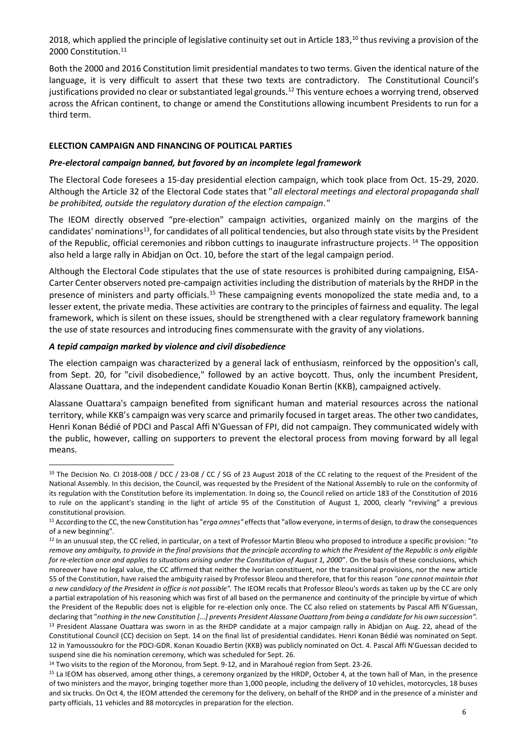2018, which applied the principle of legislative continuity set out in Article 183,<sup>10</sup> thus reviving a provision of the 2000 Constitution.<sup>11</sup>

Both the 2000 and 2016 Constitution limit presidential mandates to two terms. Given the identical nature of the language, it is very difficult to assert that these two texts are contradictory. The Constitutional Council's justifications provided no clear or substantiated legal grounds.<sup>12</sup> This venture echoes a worrying trend, observed across the African continent, to change or amend the Constitutions allowing incumbent Presidents to run for a third term.

### **ELECTION CAMPAIGN AND FINANCING OF POLITICAL PARTIES**

#### *Pre-electoral campaign banned, but favored by an incomplete legal framework*

The Electoral Code foresees a 15-day presidential election campaign, which took place from Oct. 15-29, 2020. Although the Article 32 of the Electoral Code states that "*all electoral meetings and electoral propaganda shall be prohibited, outside the regulatory duration of the election campaign."* 

The IEOM directly observed "pre-election" campaign activities, organized mainly on the margins of the candidates' nominations<sup>13</sup>, for candidates of all political tendencies, but also through state visits by the President of the Republic, official ceremonies and ribbon cuttings to inaugurate infrastructure projects. <sup>14</sup> The opposition also held a large rally in Abidjan on Oct. 10, before the start of the legal campaign period.

Although the Electoral Code stipulates that the use of state resources is prohibited during campaigning, EISA-Carter Center observers noted pre-campaign activities including the distribution of materials by the RHDP in the presence of ministers and party officials.<sup>15</sup> These campaigning events monopolized the state media and, to a lesser extent, the private media. These activities are contrary to the principles of fairness and equality. The legal framework, which is silent on these issues, should be strengthened with a clear regulatory framework banning the use of state resources and introducing fines commensurate with the gravity of any violations.

#### *A tepid campaign marked by violence and civil disobedience*

The election campaign was characterized by a general lack of enthusiasm, reinforced by the opposition's call, from Sept. 20, for "civil disobedience," followed by an active boycott. Thus, only the incumbent President, Alassane Ouattara, and the independent candidate Kouadio Konan Bertin (KKB), campaigned actively.

Alassane Ouattara's campaign benefited from significant human and material resources across the national territory, while KKB's campaign was very scarce and primarily focused in target areas. The other two candidates, Henri Konan Bédié of PDCI and Pascal Affi N'Guessan of FPI, did not campaign. They communicated widely with the public, however, calling on supporters to prevent the electoral process from moving forward by all legal means.

<sup>&</sup>lt;sup>10</sup> The Decision No. CI 2018-008 / DCC / 23-08 / CC / SG of 23 August 2018 of the CC relating to the request of the President of the National Assembly. In this decision, the Council, was requested by the President of the National Assembly to rule on the conformity of its regulation with the Constitution before its implementation. In doing so, the Council relied on article 183 of the Constitution of 2016 to rule on the applicant's standing in the light of article 95 of the Constitution of August 1, 2000, clearly "reviving" a previous constitutional provision.

<sup>11</sup> According to the CC, the new Constitution has "*erga omnes"* effects that "allow everyone, in terms of design, to draw the consequences of a new beginning".

<sup>12</sup> In an unusual step, the CC relied, in particular, on a text of Professor Martin Bleou who proposed to introduce a specific provision: "*to remove any ambiguity, to provide in the final provisions that the principle according to which the President of the Republic is only eligible for re-election once and applies to situations arising under the Constitution of August 1, 2000*". On the basis of these conclusions, which moreover have no legal value, the CC affirmed that neither the Ivorian constituent, nor the transitional provisions, nor the new article 55 of the Constitution, have raised the ambiguity raised by Professor Bleou and therefore, that for this reason "*one cannot maintain that a new candidacy of the President in office is not possible".* The IEOM recalls that Professor Bleou's words as taken up by the CC are only a partial extrapolation of his reasoning which was first of all based on the permanence and continuity of the principle by virtue of which the President of the Republic does not is eligible for re-election only once. The CC also relied on statements by Pascal Affi N'Guessan, declaring that "*nothing in the new Constitution [...] prevents President Alassane Ouattara from being a candidate for his own succession".* <sup>13</sup> President Alassane Ouattara was sworn in as the RHDP candidate at a major campaign rally in Abidjan on Aug. 22, ahead of the Constitutional Council (CC) decision on Sept. 14 on the final list of presidential candidates. Henri Konan Bédié was nominated on Sept. 12 in Yamoussoukro for the PDCI-GDR. Konan Kouadio Bertin (KKB) was publicly nominated on Oct. 4. Pascal Affi N'Guessan decided to suspend sine die his nomination ceremony, which was scheduled for Sept. 26.

<sup>&</sup>lt;sup>14</sup> Two visits to the region of the Moronou, from Sept. 9-12, and in Marahoué region from Sept. 23-26.

<sup>&</sup>lt;sup>15</sup> La IEOM has observed, among other things, a ceremony organized by the HRDP, October 4, at the town hall of Man, in the presence of two ministers and the mayor, bringing together more than 1,000 people, including the delivery of 10 vehicles, motorcycles, 18 buses and six trucks. On Oct 4, the IEOM attended the ceremony for the delivery, on behalf of the RHDP and in the presence of a minister and party officials, 11 vehicles and 88 motorcycles in preparation for the election.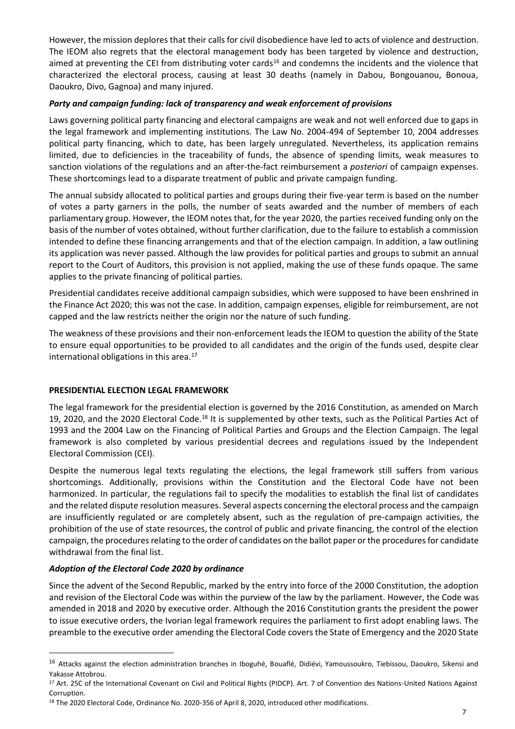However, the mission deplores that their calls for civil disobedience have led to acts of violence and destruction. The IEOM also regrets that the electoral management body has been targeted by violence and destruction, aimed at preventing the CEI from distributing voter cards<sup>16</sup> and condemns the incidents and the violence that characterized the electoral process, causing at least 30 deaths (namely in Dabou, Bongouanou, Bonoua, Daoukro, Divo, Gagnoa) and many injured.

### *Party and campaign funding: lack of transparency and weak enforcement of provisions*

Laws governing political party financing and electoral campaigns are weak and not well enforced due to gaps in the legal framework and implementing institutions. The Law No. 2004-494 of September 10, 2004 addresses political party financing, which to date, has been largely unregulated. Nevertheless, its application remains limited, due to deficiencies in the traceability of funds, the absence of spending limits, weak measures to sanction violations of the regulations and an after-the-fact reimbursement a *posteriori* of campaign expenses. These shortcomings lead to a disparate treatment of public and private campaign funding.

The annual subsidy allocated to political parties and groups during their five-year term is based on the number of votes a party garners in the polls, the number of seats awarded and the number of members of each parliamentary group. However, the IEOM notes that, for the year 2020, the parties received funding only on the basis of the number of votes obtained, without further clarification, due to the failure to establish a commission intended to define these financing arrangements and that of the election campaign. In addition, a law outlining its application was never passed. Although the law provides for political parties and groups to submit an annual report to the Court of Auditors, this provision is not applied, making the use of these funds opaque. The same applies to the private financing of political parties.

Presidential candidates receive additional campaign subsidies, which were supposed to have been enshrined in the Finance Act 2020; this was not the case. In addition, campaign expenses, eligible for reimbursement, are not capped and the law restricts neither the origin nor the nature of such funding.

The weakness of these provisions and their non-enforcement leads the IEOM to question the ability of the State to ensure equal opportunities to be provided to all candidates and the origin of the funds used, despite clear international obligations in this area.<sup>17</sup>

### **PRESIDENTIAL ELECTION LEGAL FRAMEWORK**

The legal framework for the presidential election is governed by the 2016 Constitution, as amended on March 19, 2020, and the 2020 Electoral Code.<sup>18</sup> It is supplemented by other texts, such as the Political Parties Act of 1993 and the 2004 Law on the Financing of Political Parties and Groups and the Election Campaign. The legal framework is also completed by various presidential decrees and regulations issued by the Independent Electoral Commission (CEI).

Despite the numerous legal texts regulating the elections, the legal framework still suffers from various shortcomings. Additionally, provisions within the Constitution and the Electoral Code have not been harmonized. In particular, the regulations fail to specify the modalities to establish the final list of candidates and the related dispute resolution measures. Several aspects concerning the electoral process and the campaign are insufficiently regulated or are completely absent, such as the regulation of pre-campaign activities, the prohibition of the use of state resources, the control of public and private financing, the control of the election campaign, the procedures relating to the order of candidates on the ballot paper or the procedures for candidate withdrawal from the final list.

### *Adoption of the Electoral Code 2020 by ordinance*

Since the advent of the Second Republic, marked by the entry into force of the 2000 Constitution, the adoption and revision of the Electoral Code was within the purview of the law by the parliament. However, the Code was amended in 2018 and 2020 by executive order. Although the 2016 Constitution grants the president the power to issue executive orders, the Ivorian legal framework requires the parliament to first adopt enabling laws. The preamble to the executive order amending the Electoral Code covers the State of Emergency and the 2020 State

<sup>&</sup>lt;sup>16</sup> Attacks against the election administration branches in Iboguhé, Bouaflé, Didiévi, Yamoussoukro, Tiebissou, Daoukro, Sikensi and Yakasse Attobrou.

<sup>&</sup>lt;sup>17</sup> Art. 25C of the International Covenant on Civil and Political Rights (PIDCP). Art. 7 of Convention des Nations-United Nations Against Corruption.

<sup>&</sup>lt;sup>18</sup> The 2020 Electoral Code, Ordinance No. 2020-356 of April 8, 2020, introduced other modifications.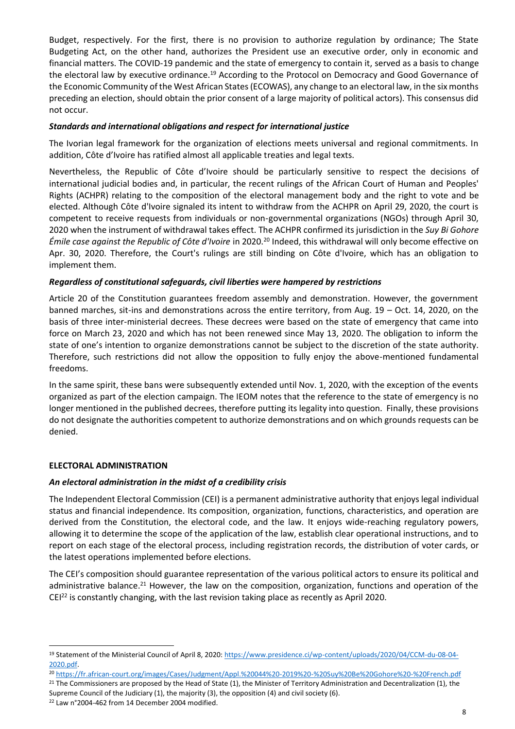Budget, respectively. For the first, there is no provision to authorize regulation by ordinance; The State Budgeting Act, on the other hand, authorizes the President use an executive order, only in economic and financial matters. The COVID-19 pandemic and the state of emergency to contain it, served as a basis to change the electoral law by executive ordinance.<sup>19</sup> According to the Protocol on Democracy and Good Governance of the Economic Community of the West African States (ECOWAS), any change to an electoral law, in the six months preceding an election, should obtain the prior consent of a large majority of political actors). This consensus did not occur.

### *Standards and international obligations and respect for international justice*

The Ivorian legal framework for the organization of elections meets universal and regional commitments. In addition, Côte d'Ivoire has ratified almost all applicable treaties and legal texts.

Nevertheless, the Republic of Côte d'Ivoire should be particularly sensitive to respect the decisions of international judicial bodies and, in particular, the recent rulings of the African Court of Human and Peoples' Rights (ACHPR) relating to the composition of the electoral management body and the right to vote and be elected. Although Côte d'Ivoire signaled its intent to withdraw from the ACHPR on April 29, 2020, the court is competent to receive requests from individuals or non-governmental organizations (NGOs) through April 30, 2020 when the instrument of withdrawal takes effect. The ACHPR confirmed its jurisdiction in the *Suy Bi Gohore Émile case against the Republic of Côte d'Ivoire* in 2020.<sup>20</sup> Indeed, this withdrawal will only become effective on Apr. 30, 2020. Therefore, the Court's rulings are still binding on Côte d'Ivoire, which has an obligation to implement them.

### *Regardless of constitutional safeguards, civil liberties were hampered by restrictions*

Article 20 of the Constitution guarantees freedom assembly and demonstration. However, the government banned marches, sit-ins and demonstrations across the entire territory, from Aug. 19 – Oct. 14, 2020, on the basis of three inter-ministerial decrees. These decrees were based on the state of emergency that came into force on March 23, 2020 and which has not been renewed since May 13, 2020. The obligation to inform the state of one's intention to organize demonstrations cannot be subject to the discretion of the state authority. Therefore, such restrictions did not allow the opposition to fully enjoy the above-mentioned fundamental freedoms.

In the same spirit, these bans were subsequently extended until Nov. 1, 2020, with the exception of the events organized as part of the election campaign. The IEOM notes that the reference to the state of emergency is no longer mentioned in the published decrees, therefore putting its legality into question. Finally, these provisions do not designate the authorities competent to authorize demonstrations and on which grounds requests can be denied.

# **ELECTORAL ADMINISTRATION**

### *An electoral administration in the midst of a credibility crisis*

The Independent Electoral Commission (CEI) is a permanent administrative authority that enjoys legal individual status and financial independence. Its composition, organization, functions, characteristics, and operation are derived from the Constitution, the electoral code, and the law. It enjoys wide-reaching regulatory powers, allowing it to determine the scope of the application of the law, establish clear operational instructions, and to report on each stage of the electoral process, including registration records, the distribution of voter cards, or the latest operations implemented before elections.

The CEI's composition should guarantee representation of the various political actors to ensure its political and administrative balance.<sup>21</sup> However, the law on the composition, organization, functions and operation of the CEI<sup>22</sup> is constantly changing, with the last revision taking place as recently as April 2020.

 $21$  The Commissioners are proposed by the Head of State (1), the Minister of Territory Administration and Decentralization (1), the Supreme Council of the Judiciary (1), the majority (3), the opposition (4) and civil society (6). <sup>22</sup> Law n°2004-462 from 14 December 2004 modified.

8

<sup>19</sup> Statement of the Ministerial Council of April 8, 2020: [https://www.presidence.ci/wp-content/uploads/2020/04/CCM-du-08-04-](https://www.presidence.ci/wp-content/uploads/2020/04/CCM-du-08-04-2020.pdf) [2020.pdf.](https://www.presidence.ci/wp-content/uploads/2020/04/CCM-du-08-04-2020.pdf)

<sup>20</sup> <https://fr.african-court.org/images/Cases/Judgment/Appl.%20044%20-2019%20-%20Suy%20Be%20Gohore%20-%20French.pdf>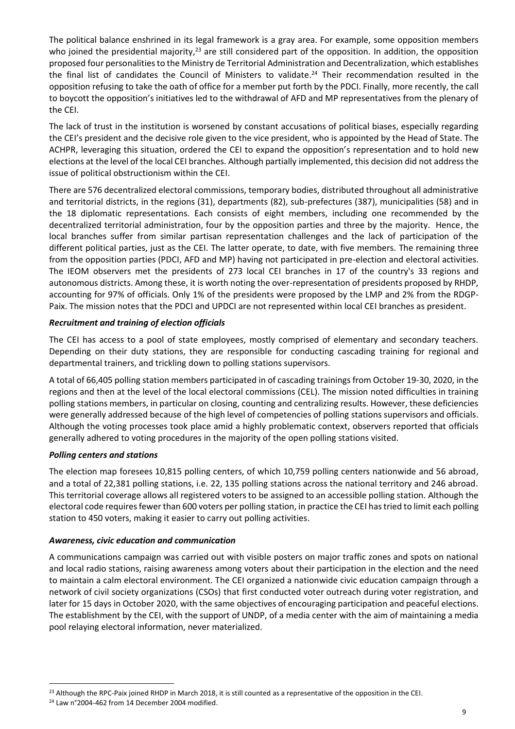The political balance enshrined in its legal framework is a gray area. For example, some opposition members who joined the presidential majority,<sup>23</sup> are still considered part of the opposition. In addition, the opposition proposed four personalities to the Ministry de Territorial Administration and Decentralization, which establishes the final list of candidates the Council of Ministers to validate. <sup>24</sup> Their recommendation resulted in the opposition refusing to take the oath of office for a member put forth by the PDCI. Finally, more recently, the call to boycott the opposition's initiatives led to the withdrawal of AFD and MP representatives from the plenary of the CEI.

The lack of trust in the institution is worsened by constant accusations of political biases, especially regarding the CEI's president and the decisive role given to the vice president, who is appointed by the Head of State. The ACHPR, leveraging this situation, ordered the CEI to expand the opposition's representation and to hold new elections at the level of the local CEI branches. Although partially implemented, this decision did not address the issue of political obstructionism within the CEI.

There are 576 decentralized electoral commissions, temporary bodies, distributed throughout all administrative and territorial districts, in the regions (31), departments (82), sub-prefectures (387), municipalities (58) and in the 18 diplomatic representations. Each consists of eight members, including one recommended by the decentralized territorial administration, four by the opposition parties and three by the majority. Hence, the local branches suffer from similar partisan representation challenges and the lack of participation of the different political parties, just as the CEI. The latter operate, to date, with five members. The remaining three from the opposition parties (PDCI, AFD and MP) having not participated in pre-election and electoral activities. The IEOM observers met the presidents of 273 local CEI branches in 17 of the country's 33 regions and autonomous districts. Among these, it is worth noting the over-representation of presidents proposed by RHDP, accounting for 97% of officials. Only 1% of the presidents were proposed by the LMP and 2% from the RDGP-Paix. The mission notes that the PDCI and UPDCI are not represented within local CEI branches as president.

### *Recruitment and training of election officials*

The CEI has access to a pool of state employees, mostly comprised of elementary and secondary teachers. Depending on their duty stations, they are responsible for conducting cascading training for regional and departmental trainers, and trickling down to polling stations supervisors.

A total of 66,405 polling station members participated in of cascading trainings from October 19-30, 2020, in the regions and then at the level of the local electoral commissions (CEL). The mission noted difficulties in training polling stations members, in particular on closing, counting and centralizing results. However, these deficiencies were generally addressed because of the high level of competencies of polling stations supervisors and officials. Although the voting processes took place amid a highly problematic context, observers reported that officials generally adhered to voting procedures in the majority of the open polling stations visited.

#### *Polling centers and stations*

The election map foresees 10,815 polling centers, of which 10,759 polling centers nationwide and 56 abroad, and a total of 22,381 polling stations, i.e. 22, 135 polling stations across the national territory and 246 abroad. This territorial coverage allows all registered voters to be assigned to an accessible polling station. Although the electoral code requires fewer than 600 voters per polling station, in practice the CEI has tried to limit each polling station to 450 voters, making it easier to carry out polling activities.

#### *Awareness, civic education and communication*

A communications campaign was carried out with visible posters on major traffic zones and spots on national and local radio stations, raising awareness among voters about their participation in the election and the need to maintain a calm electoral environment. The CEI organized a nationwide civic education campaign through a network of civil society organizations (CSOs) that first conducted voter outreach during voter registration, and later for 15 days in October 2020, with the same objectives of encouraging participation and peaceful elections. The establishment by the CEI, with the support of UNDP, of a media center with the aim of maintaining a media pool relaying electoral information, never materialized.

<sup>&</sup>lt;sup>23</sup> Although the RPC-Paix joined RHDP in March 2018, it is still counted as a representative of the opposition in the CEI.

<sup>24</sup> Law n°2004-462 from 14 December 2004 modified.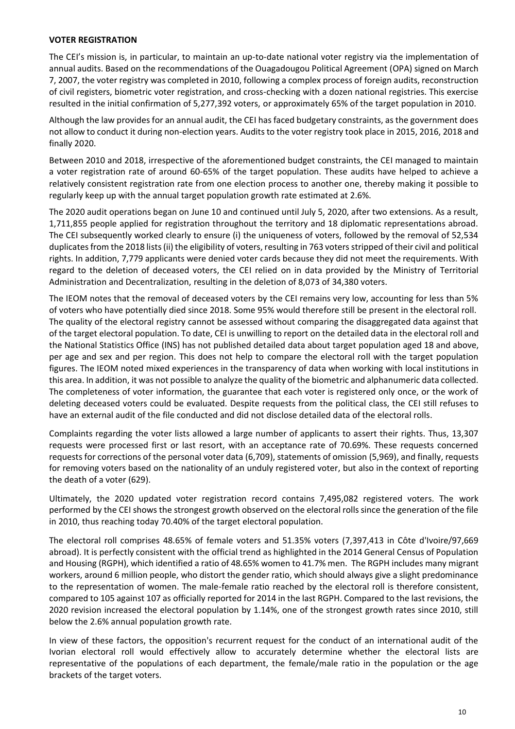#### **VOTER REGISTRATION**

The CEI's mission is, in particular, to maintain an up-to-date national voter registry via the implementation of annual audits. Based on the recommendations of the Ouagadougou Political Agreement (OPA) signed on March 7, 2007, the voter registry was completed in 2010, following a complex process of foreign audits, reconstruction of civil registers, biometric voter registration, and cross-checking with a dozen national registries. This exercise resulted in the initial confirmation of 5,277,392 voters, or approximately 65% of the target population in 2010.

Although the law provides for an annual audit, the CEI has faced budgetary constraints, as the government does not allow to conduct it during non-election years. Audits to the voter registry took place in 2015, 2016, 2018 and finally 2020.

Between 2010 and 2018, irrespective of the aforementioned budget constraints, the CEI managed to maintain a voter registration rate of around 60-65% of the target population. These audits have helped to achieve a relatively consistent registration rate from one election process to another one, thereby making it possible to regularly keep up with the annual target population growth rate estimated at 2.6%.

The 2020 audit operations began on June 10 and continued until July 5, 2020, after two extensions. As a result, 1,711,855 people applied for registration throughout the territory and 18 diplomatic representations abroad. The CEI subsequently worked clearly to ensure (i) the uniqueness of voters, followed by the removal of 52,534 duplicates from the 2018 lists (ii) the eligibility of voters, resulting in 763 voters stripped of their civil and political rights. In addition, 7,779 applicants were denied voter cards because they did not meet the requirements. With regard to the deletion of deceased voters, the CEI relied on in data provided by the Ministry of Territorial Administration and Decentralization, resulting in the deletion of 8,073 of 34,380 voters.

The IEOM notes that the removal of deceased voters by the CEI remains very low, accounting for less than 5% of voters who have potentially died since 2018. Some 95% would therefore still be present in the electoral roll. The quality of the electoral registry cannot be assessed without comparing the disaggregated data against that of the target electoral population. To date, CEI is unwilling to report on the detailed data in the electoral roll and the National Statistics Office (INS) has not published detailed data about target population aged 18 and above, per age and sex and per region. This does not help to compare the electoral roll with the target population figures. The IEOM noted mixed experiences in the transparency of data when working with local institutions in this area. In addition, it was not possible to analyze the quality of the biometric and alphanumeric data collected. The completeness of voter information, the guarantee that each voter is registered only once, or the work of deleting deceased voters could be evaluated. Despite requests from the political class, the CEI still refuses to have an external audit of the file conducted and did not disclose detailed data of the electoral rolls.

Complaints regarding the voter lists allowed a large number of applicants to assert their rights. Thus, 13,307 requests were processed first or last resort, with an acceptance rate of 70.69%. These requests concerned requests for corrections of the personal voter data (6,709), statements of omission (5,969), and finally, requests for removing voters based on the nationality of an unduly registered voter, but also in the context of reporting the death of a voter (629).

Ultimately, the 2020 updated voter registration record contains 7,495,082 registered voters. The work performed by the CEI shows the strongest growth observed on the electoral rolls since the generation of the file in 2010, thus reaching today 70.40% of the target electoral population.

The electoral roll comprises 48.65% of female voters and 51.35% voters (7,397,413 in Côte d'Ivoire/97,669 abroad). It is perfectly consistent with the official trend as highlighted in the 2014 General Census of Population and Housing (RGPH), which identified a ratio of 48.65% women to 41.7% men. The RGPH includes many migrant workers, around 6 million people, who distort the gender ratio, which should always give a slight predominance to the representation of women. The male-female ratio reached by the electoral roll is therefore consistent, compared to 105 against 107 as officially reported for 2014 in the last RGPH. Compared to the last revisions, the 2020 revision increased the electoral population by 1.14%, one of the strongest growth rates since 2010, still below the 2.6% annual population growth rate.

In view of these factors, the opposition's recurrent request for the conduct of an international audit of the Ivorian electoral roll would effectively allow to accurately determine whether the electoral lists are representative of the populations of each department, the female/male ratio in the population or the age brackets of the target voters.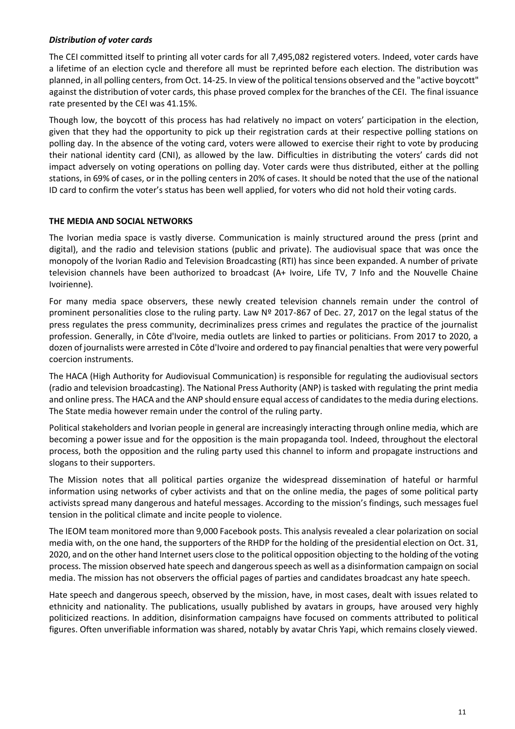### *Distribution of voter cards*

The CEI committed itself to printing all voter cards for all 7,495,082 registered voters. Indeed, voter cards have a lifetime of an election cycle and therefore all must be reprinted before each election. The distribution was planned, in all polling centers, from Oct. 14-25. In view of the political tensions observed and the "active boycott" against the distribution of voter cards, this phase proved complex for the branches of the CEI. The final issuance rate presented by the CEI was 41.15%.

Though low, the boycott of this process has had relatively no impact on voters' participation in the election, given that they had the opportunity to pick up their registration cards at their respective polling stations on polling day. In the absence of the voting card, voters were allowed to exercise their right to vote by producing their national identity card (CNI), as allowed by the law. Difficulties in distributing the voters' cards did not impact adversely on voting operations on polling day. Voter cards were thus distributed, either at the polling stations, in 69% of cases, or in the polling centers in 20% of cases. It should be noted that the use of the national ID card to confirm the voter's status has been well applied, for voters who did not hold their voting cards.

### **THE MEDIA AND SOCIAL NETWORKS**

The Ivorian media space is vastly diverse. Communication is mainly structured around the press (print and digital), and the radio and television stations (public and private). The audiovisual space that was once the monopoly of the Ivorian Radio and Television Broadcasting (RTI) has since been expanded. A number of private television channels have been authorized to broadcast (A+ Ivoire, Life TV, 7 Info and the Nouvelle Chaine Ivoirienne).

For many media space observers, these newly created television channels remain under the control of prominent personalities close to the ruling party. Law Nº 2017-867 of Dec. 27, 2017 on the legal status of the press regulates the press community, decriminalizes press crimes and regulates the practice of the journalist profession. Generally, in Côte d'Ivoire, media outlets are linked to parties or politicians. From 2017 to 2020, a dozen of journalists were arrested in Côte d'Ivoire and ordered to pay financial penalties that were very powerful coercion instruments.

The HACA (High Authority for Audiovisual Communication) is responsible for regulating the audiovisual sectors (radio and television broadcasting). The National Press Authority (ANP) is tasked with regulating the print media and online press. The HACA and the ANP should ensure equal access of candidates to the media during elections. The State media however remain under the control of the ruling party.

Political stakeholders and Ivorian people in general are increasingly interacting through online media, which are becoming a power issue and for the opposition is the main propaganda tool. Indeed, throughout the electoral process, both the opposition and the ruling party used this channel to inform and propagate instructions and slogans to their supporters.

The Mission notes that all political parties organize the widespread dissemination of hateful or harmful information using networks of cyber activists and that on the online media, the pages of some political party activists spread many dangerous and hateful messages. According to the mission's findings, such messages fuel tension in the political climate and incite people to violence.

The IEOM team monitored more than 9,000 Facebook posts. This analysis revealed a clear polarization on social media with, on the one hand, the supporters of the RHDP for the holding of the presidential election on Oct. 31, 2020, and on the other hand Internet users close to the political opposition objecting to the holding of the voting process. The mission observed hate speech and dangerous speech as well as a disinformation campaign on social media. The mission has not observers the official pages of parties and candidates broadcast any hate speech.

Hate speech and dangerous speech, observed by the mission, have, in most cases, dealt with issues related to ethnicity and nationality. The publications, usually published by avatars in groups, have aroused very highly politicized reactions. In addition, disinformation campaigns have focused on comments attributed to political figures. Often unverifiable information was shared, notably by avatar Chris Yapi, which remains closely viewed.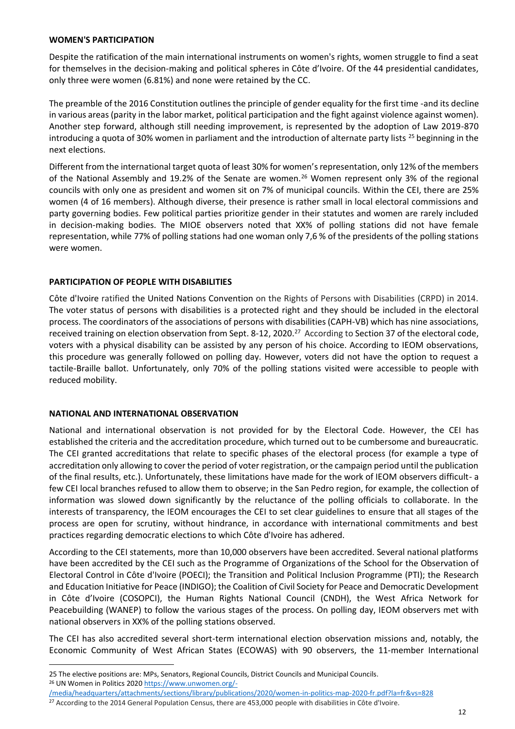#### **WOMEN'S PARTICIPATION**

Despite the ratification of the main international instruments on women's rights, women struggle to find a seat for themselves in the decision-making and political spheres in Côte d'Ivoire. Of the 44 presidential candidates, only three were women (6.81%) and none were retained by the CC.

The preamble of the 2016 Constitution outlines the principle of gender equality for the first time -and its decline in various areas (parity in the labor market, political participation and the fight against violence against women). Another step forward, although still needing improvement, is represented by the adoption of Law 2019-870 introducing a quota of 30% women in parliament and the introduction of alternate party lists  $^{25}$  beginning in the next elections.

Different from the international target quota of least 30% for women's representation, only 12% of the members of the National Assembly and 19.2% of the Senate are women.<sup>26</sup> Women represent only 3% of the regional councils with only one as president and women sit on 7% of municipal councils. Within the CEI, there are 25% women (4 of 16 members). Although diverse, their presence is rather small in local electoral commissions and party governing bodies. Few political parties prioritize gender in their statutes and women are rarely included in decision-making bodies. The MIOE observers noted that XX% of polling stations did not have female representation, while 77% of polling stations had one woman only 7,6 % of the presidents of the polling stations were women.

#### **PARTICIPATION OF PEOPLE WITH DISABILITIES**

Côte d'Ivoire ratified the United Nations Convention on the Rights of Persons with Disabilities (CRPD) in 2014. The voter status of persons with disabilities is a protected right and they should be included in the electoral process. The coordinators of the associations of persons with disabilities (CAPH-VB) which has nine associations, received training on election observation from Sept. 8-12, 2020.<sup>27</sup> According to Section 37 of the electoral code, voters with a physical disability can be assisted by any person of his choice. According to IEOM observations, this procedure was generally followed on polling day. However, voters did not have the option to request a tactile-Braille ballot. Unfortunately, only 70% of the polling stations visited were accessible to people with reduced mobility.

#### **NATIONAL AND INTERNATIONAL OBSERVATION**

National and international observation is not provided for by the Electoral Code. However, the CEI has established the criteria and the accreditation procedure, which turned out to be cumbersome and bureaucratic. The CEI granted accreditations that relate to specific phases of the electoral process (for example a type of accreditation only allowing to cover the period of voter registration, or the campaign period until the publication of the final results, etc.). Unfortunately, these limitations have made for the work of IEOM observers difficult- a few CEI local branches refused to allow them to observe; in the San Pedro region, for example, the collection of information was slowed down significantly by the reluctance of the polling officials to collaborate. In the interests of transparency, the IEOM encourages the CEI to set clear guidelines to ensure that all stages of the process are open for scrutiny, without hindrance, in accordance with international commitments and best practices regarding democratic elections to which Côte d'Ivoire has adhered.

According to the CEI statements, more than 10,000 observers have been accredited. Several national platforms have been accredited by the CEI such as the Programme of Organizations of the School for the Observation of Electoral Control in Côte d'Ivoire (POECI); the Transition and Political Inclusion Programme (PTI); the Research and Education Initiative for Peace (INDIGO); the Coalition of Civil Society for Peace and Democratic Development in Côte d'Ivoire (COSOPCI), the Human Rights National Council (CNDH), the West Africa Network for Peacebuilding (WANEP) to follow the various stages of the process. On polling day, IEOM observers met with national observers in XX% of the polling stations observed.

The CEI has also accredited several short-term international election observation missions and, notably, the Economic Community of West African States (ECOWAS) with 90 observers, the 11-member International

[/media/headquarters/attachments/sections/library/publications/2020/women-in-politics-map-2020-fr.pdf?la=fr&vs=828](https://www.unwomen.org/-/media/headquarters/attachments/sections/library/publications/2020/women-in-politics-map-2020-fr.pdf?la=fr&vs=828)

<sup>25</sup> The elective positions are: MPs, Senators, Regional Councils, District Councils and Municipal Councils. <sup>26</sup> UN Women in Politics 202[0 https://www.unwomen.org/-](https://www.unwomen.org/-/media/headquarters/attachments/sections/library/publications/2020/women-in-politics-map-2020-fr.pdf?la=fr&vs=828)

<sup>&</sup>lt;sup>27</sup> According to the 2014 General Population Census, there are 453,000 people with disabilities in Côte d'Ivoire.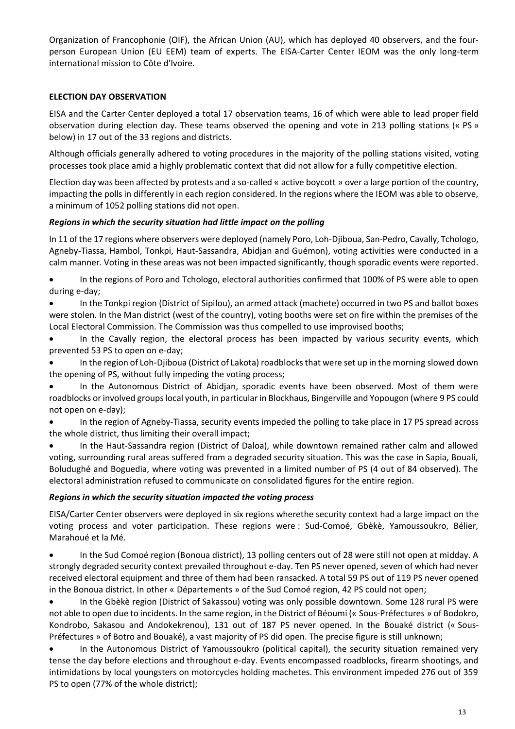Organization of Francophonie (OIF), the African Union (AU), which has deployed 40 observers, and the fourperson European Union (EU EEM) team of experts. The EISA-Carter Center IEOM was the only long-term international mission to Côte d'Ivoire.

## **ELECTION DAY OBSERVATION**

EISA and the Carter Center deployed a total 17 observation teams, 16 of which were able to lead proper field observation during election day. These teams observed the opening and vote in 213 polling stations (« PS » below) in 17 out of the 33 regions and districts.

Although officials generally adhered to voting procedures in the majority of the polling stations visited, voting processes took place amid a highly problematic context that did not allow for a fully competitive election.

Election day was been affected by protests and a so-called « active boycott » over a large portion of the country, impacting the polls in differently in each region considered. In the regions where the IEOM was able to observe, a minimum of 1052 polling stations did not open.

### *Regions in which the security situation had little impact on the polling*

In 11 of the 17 regions where observers were deployed (namely Poro, Loh-Djiboua, San-Pedro, Cavally, Tchologo, Agneby-Tiassa, Hambol, Tonkpi, Haut-Sassandra, Abidjan and Guémon), voting activities were conducted in a calm manner. Voting in these areas was not been impacted significantly, though sporadic events were reported.

• In the regions of Poro and Tchologo, electoral authorities confirmed that 100% of PS were able to open during e-day;

• In the Tonkpi region (District of Sipilou), an armed attack (machete) occurred in two PS and ballot boxes were stolen. In the Man district (west of the country), voting booths were set on fire within the premises of the Local Electoral Commission. The Commission was thus compelled to use improvised booths;

In the Cavally region, the electoral process has been impacted by various security events, which prevented 53 PS to open on e-day;

• In the region of Loh-Djiboua (District of Lakota) roadblocks that were set up in the morning slowed down the opening of PS, without fully impeding the voting process;

In the Autonomous District of Abidjan, sporadic events have been observed. Most of them were roadblocks or involved groups local youth, in particular in Blockhaus, Bingerville and Yopougon (where 9 PS could not open on e-day);

• In the region of Agneby-Tiassa, security events impeded the polling to take place in 17 PS spread across the whole district, thus limiting their overall impact;

• In the Haut-Sassandra region (District of Daloa), while downtown remained rather calm and allowed voting, surrounding rural areas suffered from a degraded security situation. This was the case in Sapia, Bouali, Boludughé and Boguedia, where voting was prevented in a limited number of PS (4 out of 84 observed). The electoral administration refused to communicate on consolidated figures for the entire region.

### *Regions in which the security situation impacted the voting process*

EISA/Carter Center observers were deployed in six regions wherethe security context had a large impact on the voting process and voter participation. These regions were : Sud-Comoé, Gbèkè, Yamoussoukro, Bélier, Marahoué et la Mé.

• In the Sud Comoé region (Bonoua district), 13 polling centers out of 28 were still not open at midday. A strongly degraded security context prevailed throughout e-day. Ten PS never opened, seven of which had never received electoral equipment and three of them had been ransacked. A total 59 PS out of 119 PS never opened in the Bonoua district. In other « Départements » of the Sud Comoé region, 42 PS could not open;

• In the Gbèkè region (District of Sakassou) voting was only possible downtown. Some 128 rural PS were not able to open due to incidents. In the same region, in the District of Béoumi (« Sous-Préfectures » of Bodokro, Kondrobo, Sakasou and Andokekrenou), 131 out of 187 PS never opened. In the Bouaké district (« Sous-Préfectures » of Botro and Bouaké), a vast majority of PS did open. The precise figure is still unknown;

• In the Autonomous District of Yamoussoukro (political capital), the security situation remained very tense the day before elections and throughout e-day. Events encompassed roadblocks, firearm shootings, and intimidations by local youngsters on motorcycles holding machetes. This environment impeded 276 out of 359 PS to open (77% of the whole district);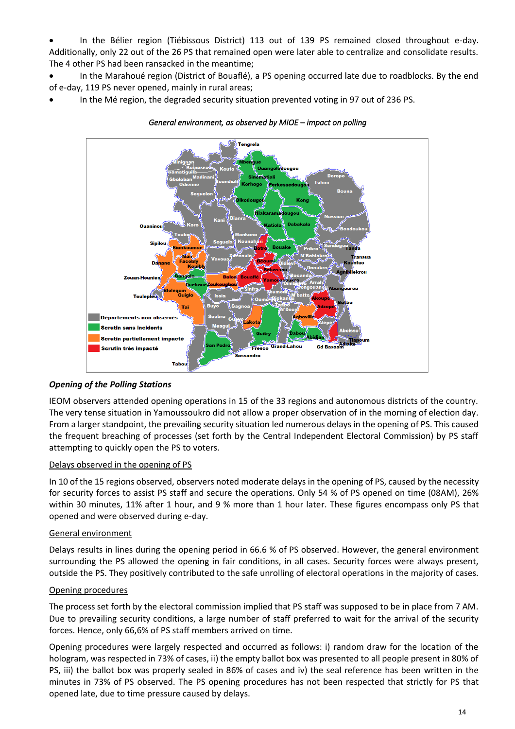• In the Bélier region (Tiébissous District) 113 out of 139 PS remained closed throughout e-day. Additionally, only 22 out of the 26 PS that remained open were later able to centralize and consolidate results. The 4 other PS had been ransacked in the meantime;

• In the Marahoué region (District of Bouaflé), a PS opening occurred late due to roadblocks. By the end of e-day, 119 PS never opened, mainly in rural areas;

• In the Mé region, the degraded security situation prevented voting in 97 out of 236 PS.



*General environment, as observed by MIOE – impact on polling* 

### *Opening of the Polling Stations*

IEOM observers attended opening operations in 15 of the 33 regions and autonomous districts of the country. The very tense situation in Yamoussoukro did not allow a proper observation of in the morning of election day. From a larger standpoint, the prevailing security situation led numerous delays in the opening of PS. This caused the frequent breaching of processes (set forth by the Central Independent Electoral Commission) by PS staff attempting to quickly open the PS to voters.

#### Delays observed in the opening of PS

In 10 of the 15 regions observed, observers noted moderate delays in the opening of PS, caused by the necessity for security forces to assist PS staff and secure the operations. Only 54 % of PS opened on time (08AM), 26% within 30 minutes, 11% after 1 hour, and 9 % more than 1 hour later. These figures encompass only PS that opened and were observed during e-day.

#### General environment

Delays results in lines during the opening period in 66.6 % of PS observed. However, the general environment surrounding the PS allowed the opening in fair conditions, in all cases. Security forces were always present, outside the PS. They positively contributed to the safe unrolling of electoral operations in the majority of cases.

### Opening procedures

The process set forth by the electoral commission implied that PS staff was supposed to be in place from 7 AM. Due to prevailing security conditions, a large number of staff preferred to wait for the arrival of the security forces. Hence, only 66,6% of PS staff members arrived on time.

Opening procedures were largely respected and occurred as follows: i) random draw for the location of the hologram, was respected in 73% of cases, ii) the empty ballot box was presented to all people present in 80% of PS, iii) the ballot box was properly sealed in 86% of cases and iv) the seal reference has been written in the minutes in 73% of PS observed. The PS opening procedures has not been respected that strictly for PS that opened late, due to time pressure caused by delays.